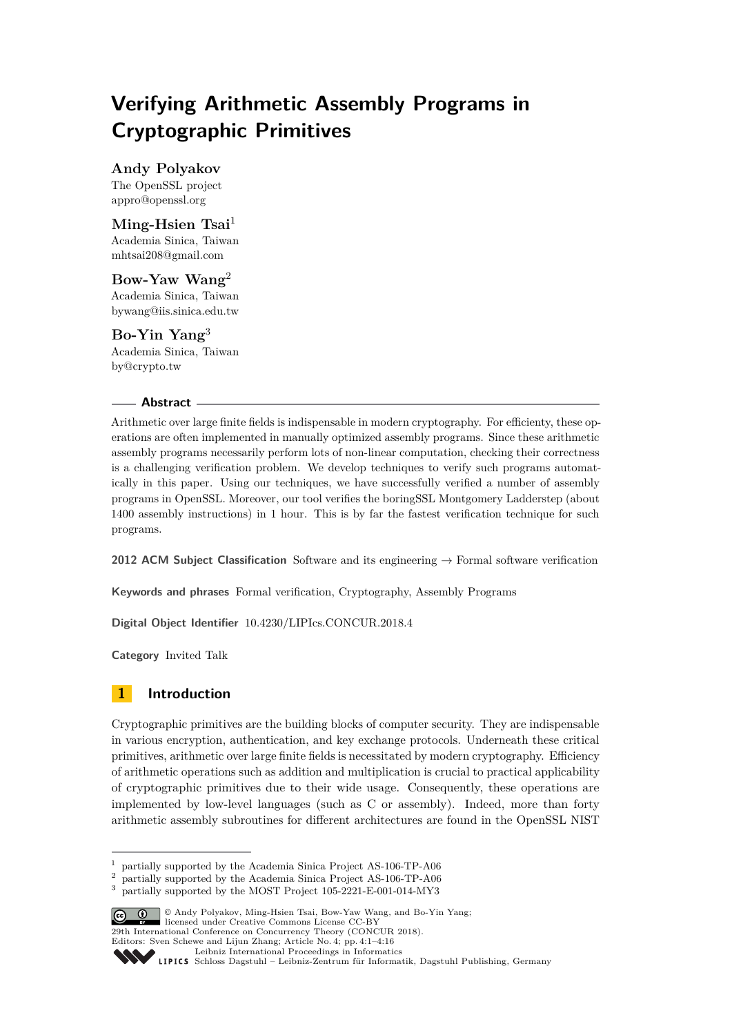# **Verifying Arithmetic Assembly Programs in Cryptographic Primitives**

**Andy Polyakov** The OpenSSL project [appro@openssl.org](mailto:appro@openssl.org)

**Ming-Hsien Tsai**<sup>1</sup> Academia Sinica, Taiwan [mhtsai208@gmail.com](mailto:mhtsai208@gmail.com)

**Bow-Yaw Wang**<sup>2</sup> Academia Sinica, Taiwan [bywang@iis.sinica.edu.tw](mailto:bywang@iis.sinica.edu.tw)

**Bo-Yin Yang**<sup>3</sup> Academia Sinica, Taiwan [by@crypto.tw](mailto:by@crypto.tw)

## **Abstract**

Arithmetic over large finite fields is indispensable in modern cryptography. For efficienty, these operations are often implemented in manually optimized assembly programs. Since these arithmetic assembly programs necessarily perform lots of non-linear computation, checking their correctness is a challenging verification problem. We develop techniques to verify such programs automatically in this paper. Using our techniques, we have successfully verified a number of assembly programs in OpenSSL. Moreover, our tool verifies the boringSSL Montgomery Ladderstep (about 1400 assembly instructions) in 1 hour. This is by far the fastest verification technique for such programs.

**2012 ACM Subject Classification** Software and its engineering → Formal software verification

**Keywords and phrases** Formal verification, Cryptography, Assembly Programs

**Digital Object Identifier** [10.4230/LIPIcs.CONCUR.2018.4](http://dx.doi.org/10.4230/LIPIcs.CONCUR.2018.4)

**Category** Invited Talk

# **1 Introduction**

Cryptographic primitives are the building blocks of computer security. They are indispensable in various encryption, authentication, and key exchange protocols. Underneath these critical primitives, arithmetic over large finite fields is necessitated by modern cryptography. Efficiency of arithmetic operations such as addition and multiplication is crucial to practical applicability of cryptographic primitives due to their wide usage. Consequently, these operations are implemented by low-level languages (such as C or assembly). Indeed, more than forty arithmetic assembly subroutines for different architectures are found in the OpenSSL NIST

<sup>3</sup> partially supported by the MOST Project 105-2221-E-001-014-MY3



<sup>©</sup> Andy Polyakov, Ming-Hsien Tsai, Bow-Yaw Wang, and Bo-Yin Yang;

**29th International Conference on Concurrency Theory (CONCUR 2018).** 

Editors: Sven Schewe and Lijun Zhang; Article No. 4; pp. 4:1–4[:16](#page-15-0)

<sup>&</sup>lt;sup>1</sup> partially supported by the Academia Sinica Project AS-106-TP-A06<br><sup>2</sup> partially supported by the Academia Sinica Project AS-106-TP-A06

<sup>2</sup> partially supported by the Academia Sinica Project AS-106-TP-A06

[Leibniz International Proceedings in Informatics](http://www.dagstuhl.de/lipics/)

Leibniz international ruceedings in miorimetric<br>
LIPICS [Schloss Dagstuhl – Leibniz-Zentrum für Informatik, Dagstuhl Publishing, Germany](http://www.dagstuhl.de)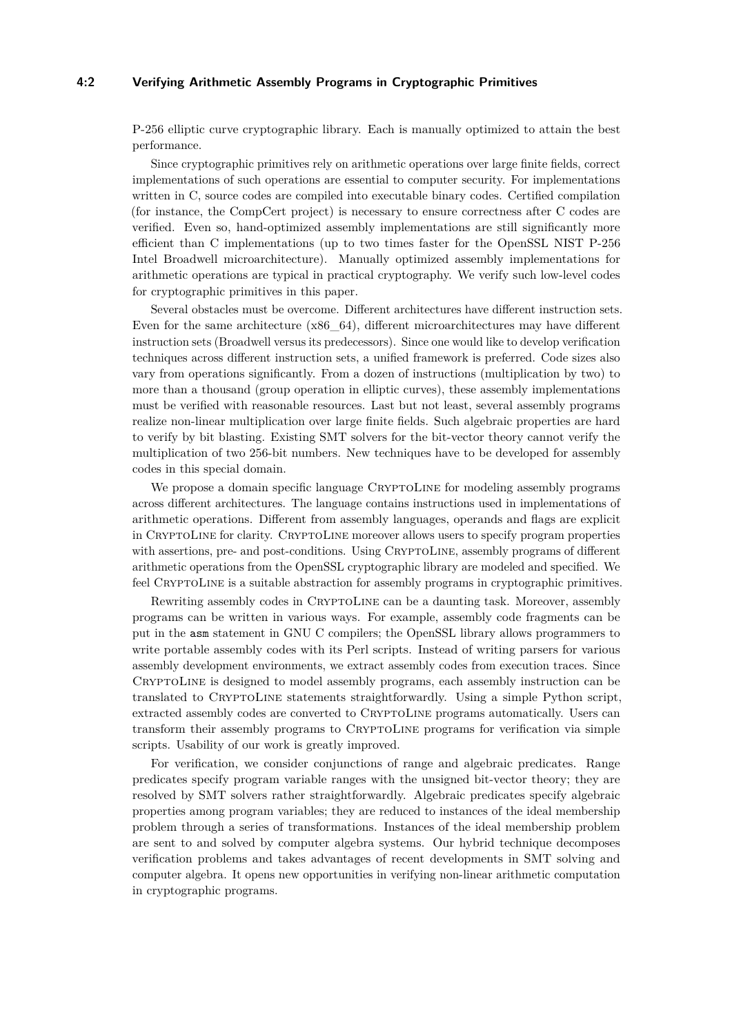#### **4:2 Verifying Arithmetic Assembly Programs in Cryptographic Primitives**

P-256 elliptic curve cryptographic library. Each is manually optimized to attain the best performance.

Since cryptographic primitives rely on arithmetic operations over large finite fields, correct implementations of such operations are essential to computer security. For implementations written in C, source codes are compiled into executable binary codes. Certified compilation (for instance, the CompCert project) is necessary to ensure correctness after C codes are verified. Even so, hand-optimized assembly implementations are still significantly more efficient than C implementations (up to two times faster for the OpenSSL NIST P-256 Intel Broadwell microarchitecture). Manually optimized assembly implementations for arithmetic operations are typical in practical cryptography. We verify such low-level codes for cryptographic primitives in this paper.

Several obstacles must be overcome. Different architectures have different instruction sets. Even for the same architecture  $(x86\text{ }64)$ , different microarchitectures may have different instruction sets (Broadwell versus its predecessors). Since one would like to develop verification techniques across different instruction sets, a unified framework is preferred. Code sizes also vary from operations significantly. From a dozen of instructions (multiplication by two) to more than a thousand (group operation in elliptic curves), these assembly implementations must be verified with reasonable resources. Last but not least, several assembly programs realize non-linear multiplication over large finite fields. Such algebraic properties are hard to verify by bit blasting. Existing SMT solvers for the bit-vector theory cannot verify the multiplication of two 256-bit numbers. New techniques have to be developed for assembly codes in this special domain.

We propose a domain specific language CRYPTOLINE for modeling assembly programs across different architectures. The language contains instructions used in implementations of arithmetic operations. Different from assembly languages, operands and flags are explicit in CRYPTOLINE for clarity. CRYPTOLINE moreover allows users to specify program properties with assertions, pre- and post-conditions. Using CRYPTOLINE, assembly programs of different arithmetic operations from the OpenSSL cryptographic library are modeled and specified. We feel CRYPTOLINE is a suitable abstraction for assembly programs in cryptographic primitives.

Rewriting assembly codes in CRYPTOLINE can be a daunting task. Moreover, assembly programs can be written in various ways. For example, assembly code fragments can be put in the asm statement in GNU C compilers; the OpenSSL library allows programmers to write portable assembly codes with its Perl scripts. Instead of writing parsers for various assembly development environments, we extract assembly codes from execution traces. Since CryptoLine is designed to model assembly programs, each assembly instruction can be translated to CryptoLine statements straightforwardly. Using a simple Python script, extracted assembly codes are converted to CryptoLine programs automatically. Users can transform their assembly programs to CRYPTOLINE programs for verification via simple scripts. Usability of our work is greatly improved.

For verification, we consider conjunctions of range and algebraic predicates. Range predicates specify program variable ranges with the unsigned bit-vector theory; they are resolved by SMT solvers rather straightforwardly. Algebraic predicates specify algebraic properties among program variables; they are reduced to instances of the ideal membership problem through a series of transformations. Instances of the ideal membership problem are sent to and solved by computer algebra systems. Our hybrid technique decomposes verification problems and takes advantages of recent developments in SMT solving and computer algebra. It opens new opportunities in verifying non-linear arithmetic computation in cryptographic programs.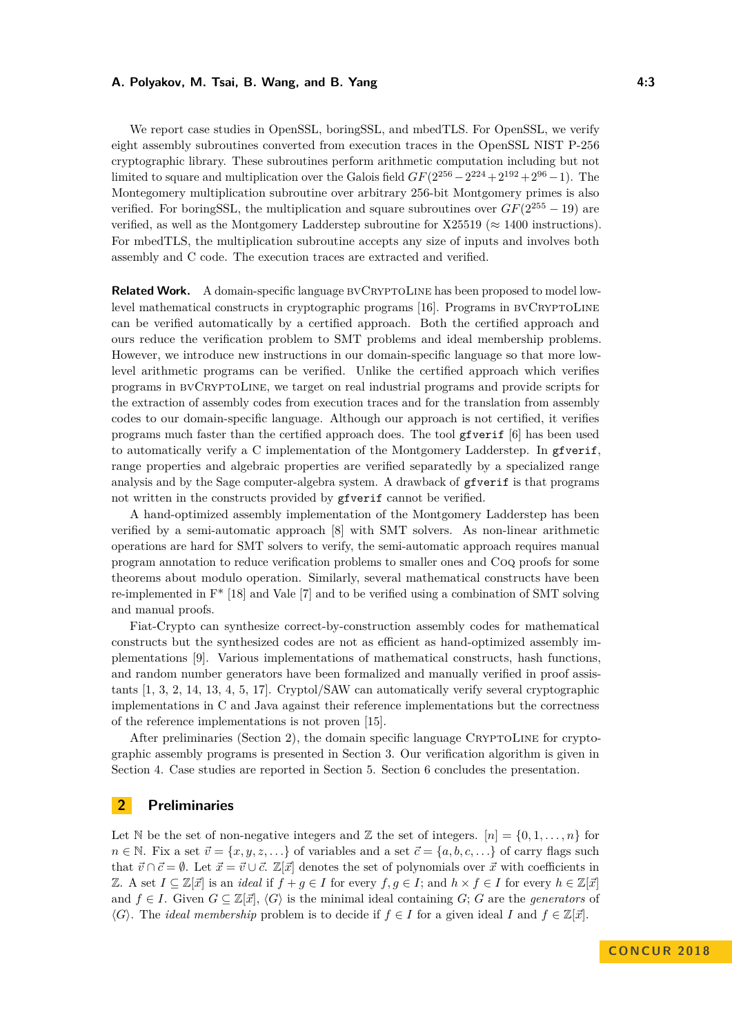#### **A. Polyakov, M. Tsai, B. Wang, and B. Yang 4:3**

We report case studies in OpenSSL, boringSSL, and mbedTLS. For OpenSSL, we verify eight assembly subroutines converted from execution traces in the OpenSSL NIST P-256 cryptographic library. These subroutines perform arithmetic computation including but not limited to square and multiplication over the Galois field  $GF(2^{256}-2^{224}+2^{192}+2^{96}-1)$ . The Montegomery multiplication subroutine over arbitrary 256-bit Montgomery primes is also verified. For boringSSL, the multiplication and square subroutines over  $GF(2^{255} - 19)$  are verified, as well as the Montgomery Ladderstep subroutine for  $X25519 \approx 1400$  instructions). For mbedTLS, the multiplication subroutine accepts any size of inputs and involves both assembly and C code. The execution traces are extracted and verified.

**Related Work.** A domain-specific language BVCRYPTOLINE has been proposed to model lowlevel mathematical constructs in cryptographic programs [\[16\]](#page-15-1). Programs in bvCryptoLine can be verified automatically by a certified approach. Both the certified approach and ours reduce the verification problem to SMT problems and ideal membership problems. However, we introduce new instructions in our domain-specific language so that more lowlevel arithmetic programs can be verified. Unlike the certified approach which verifies programs in bvCryptoLine, we target on real industrial programs and provide scripts for the extraction of assembly codes from execution traces and for the translation from assembly codes to our domain-specific language. Although our approach is not certified, it verifies programs much faster than the certified approach does. The tool gfverif [\[6\]](#page-15-2) has been used to automatically verify a C implementation of the Montgomery Ladderstep. In gfverif, range properties and algebraic properties are verified separatedly by a specialized range analysis and by the Sage computer-algebra system. A drawback of gfverif is that programs not written in the constructs provided by gfverif cannot be verified.

A hand-optimized assembly implementation of the Montgomery Ladderstep has been verified by a semi-automatic approach [\[8\]](#page-15-3) with SMT solvers. As non-linear arithmetic operations are hard for SMT solvers to verify, the semi-automatic approach requires manual program annotation to reduce verification problems to smaller ones and Coq proofs for some theorems about modulo operation. Similarly, several mathematical constructs have been re-implemented in F\* [\[18\]](#page-15-4) and Vale [\[7\]](#page-15-5) and to be verified using a combination of SMT solving and manual proofs.

Fiat-Crypto can synthesize correct-by-construction assembly codes for mathematical constructs but the synthesized codes are not as efficient as hand-optimized assembly implementations [\[9\]](#page-15-6). Various implementations of mathematical constructs, hash functions, and random number generators have been formalized and manually verified in proof assistants [\[1,](#page-15-7) [3,](#page-15-8) [2,](#page-15-9) [14,](#page-15-10) [13,](#page-15-11) [4,](#page-15-12) [5,](#page-15-13) [17\]](#page-15-14). Cryptol/SAW can automatically verify several cryptographic implementations in C and Java against their reference implementations but the correctness of the reference implementations is not proven [\[15\]](#page-15-15).

After preliminaries (Section [2\)](#page-2-0), the domain specific language CryptoLine for cryptographic assembly programs is presented in Section [3.](#page-3-0) Our verification algorithm is given in Section [4.](#page-5-0) Case studies are reported in Section [5.](#page-11-0) Section [6](#page-14-0) concludes the presentation.

# <span id="page-2-0"></span>**2 Preliminaries**

Let N be the set of non-negative integers and Z the set of integers.  $[n] = \{0, 1, \ldots, n\}$  for  $n \in \mathbb{N}$ . Fix a set  $\vec{v} = \{x, y, z, \ldots\}$  of variables and a set  $\vec{c} = \{a, b, c, \ldots\}$  of carry flags such that  $\vec{v} \cap \vec{c} = \emptyset$ . Let  $\vec{x} = \vec{v} \cup \vec{c}$ .  $\mathbb{Z}[\vec{x}]$  denotes the set of polynomials over  $\vec{x}$  with coefficients in *Z*. A set *I* ⊆ *Z*[ $\vec{x}$ ] is an *ideal* if  $f + g \in I$  for every  $f, g \in I$ ; and  $h \times f \in I$  for every  $h \in \mathbb{Z}[\vec{x}]$ and  $f \in I$ . Given  $G \subseteq \mathbb{Z}[\vec{x}]$ ,  $\langle G \rangle$  is the minimal ideal containing *G*; *G* are the *generators* of  $\langle G \rangle$ . The *ideal membership* problem is to decide if  $f \in I$  for a given ideal *I* and  $f \in \mathbb{Z}[\vec{x}]$ .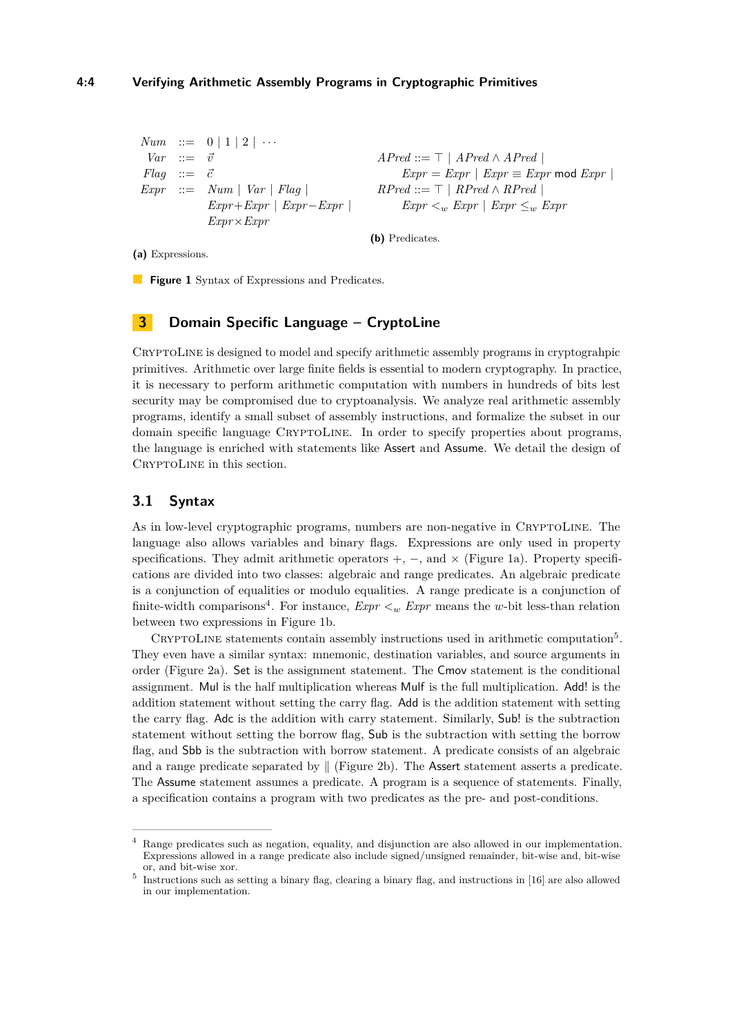## **4:4 Verifying Arithmetic Assembly Programs in Cryptographic Primitives**

```
Num : := 0 | 1 | 2 | \cdotsVar ::= \vec{v}Flag ::= \vec{c}\mathit{Expr} ::= \mathit{Num} \mid \mathit{Var} \mid \mathit{Flag} \midExpr+Expr | Expr−Expr |
                   Expr×Expr
                                                                      APred ::= \top | APred \wedge APred |\textit{Expr} = \textit{Expr} \mid \textit{Expr} \equiv \textit{Expr} \text{ mod } \textit{Expr} \midRPred ::= \top | RPred \wedge RPred |\textit{Expr} < w \textit{Expr} \mid \textit{Expr} \leq w \textit{Expr}
```
**(b)** Predicates.

**(a)** Expressions.

**Figure 1** Syntax of Expressions and Predicates.

# <span id="page-3-0"></span>**3 Domain Specific Language – CryptoLine**

CryptoLine is designed to model and specify arithmetic assembly programs in cryptograhpic primitives. Arithmetic over large finite fields is essential to modern cryptography. In practice, it is necessary to perform arithmetic computation with numbers in hundreds of bits lest security may be compromised due to cryptoanalysis. We analyze real arithmetic assembly programs, identify a small subset of assembly instructions, and formalize the subset in our domain specific language CRYPTOLINE. In order to specify properties about programs, the language is enriched with statements like Assert and Assume. We detail the design of CRYPTOLINE in this section.

## **3.1 Syntax**

As in low-level cryptographic programs, numbers are non-negative in CRYPTOLINE. The language also allows variables and binary flags. Expressions are only used in property specifications. They admit arithmetic operators  $+$ ,  $-$ , and  $\times$  (Figure [1a\)](#page-3-1). Property specifications are divided into two classes: algebraic and range predicates. An algebraic predicate is a conjunction of equalities or modulo equalities. A range predicate is a conjunction of finite-width comparisons<sup>[4](#page-3-2)</sup>. For instance,  $Expr <sub>w</sub> Expr$  means the *w*-bit less-than relation between two expressions in Figure [1b.](#page-3-1)

CRYPTOLINE statements contain assembly instructions used in arithmetic computation<sup>[5](#page-3-3)</sup>. They even have a similar syntax: mnemonic, destination variables, and source arguments in order (Figure [2a\)](#page-4-0). Set is the assignment statement. The Cmov statement is the conditional assignment. Mul is the half multiplication whereas Mulf is the full multiplication. Add! is the addition statement without setting the carry flag. Add is the addition statement with setting the carry flag. Adc is the addition with carry statement. Similarly, Sub! is the subtraction statement without setting the borrow flag, Sub is the subtraction with setting the borrow flag, and Sbb is the subtraction with borrow statement. A predicate consists of an algebraic and a range predicate separated by  $\parallel$  (Figure [2b\)](#page-4-0). The Assert statement asserts a predicate. The Assume statement assumes a predicate. A program is a sequence of statements. Finally, a specification contains a program with two predicates as the pre- and post-conditions.

<span id="page-3-2"></span>Range predicates such as negation, equality, and disjunction are also allowed in our implementation. Expressions allowed in a range predicate also include signed/unsigned remainder, bit-wise and, bit-wise or, and bit-wise xor.

<span id="page-3-3"></span><sup>&</sup>lt;sup>5</sup> Instructions such as setting a binary flag, clearing a binary flag, and instructions in [\[16\]](#page-15-1) are also allowed in our implementation.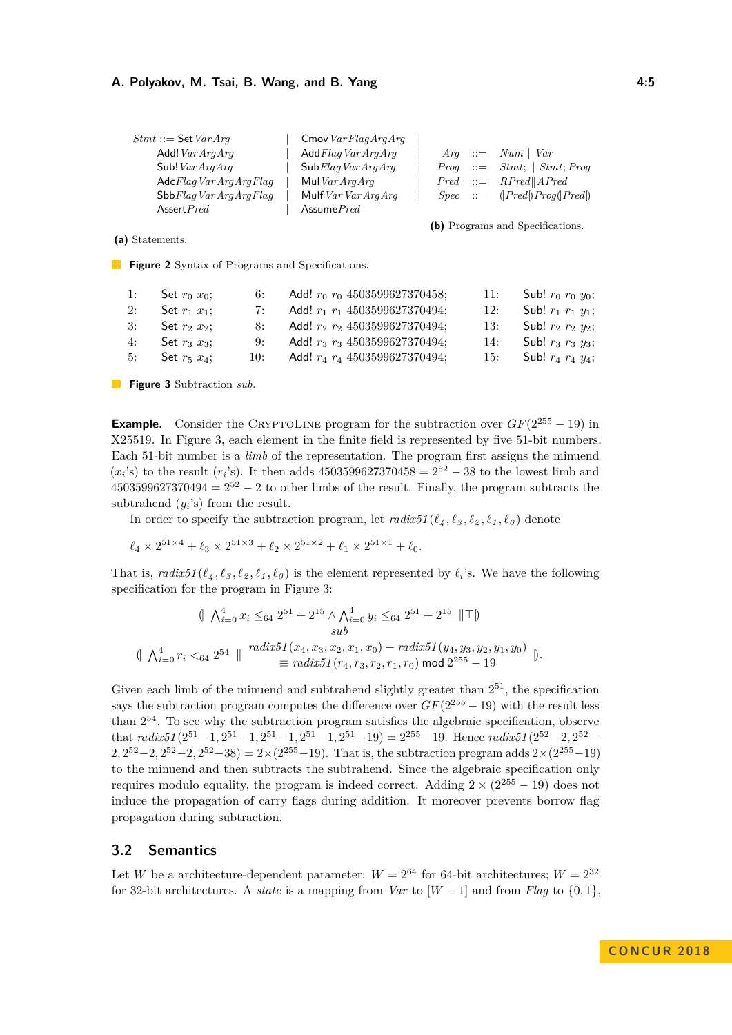<span id="page-4-0"></span>

| $Stmt ::=$ Set $VarArg$ | Cmov $VarFlagArgArg$ |  |                                                           |
|-------------------------|----------------------|--|-----------------------------------------------------------|
| Add! $VarArgArg$        | AddFlagVarArgArg     |  | $Arg \ ::= \ Num \   \ Var$                               |
| Sub! $VarArgArg$        | SubFlagVarArgArg     |  | $Proq ::= Stmt;   Stmt; Prog$                             |
| AdcFlagVarArgArgFlag    | Mul $VarArgArg$      |  | $Pred ::= RPred    APred$                                 |
| SbbFlagVarArgArgFlag    | Mulf $VarVarArgArg$  |  | $Spec \quad ::= \quad (Pred \cap P \cap Q \cap P \cap Q)$ |
| Assert $Pred$           | Assume $Pred$        |  |                                                           |

**(b)** Programs and Specifications.

**(a)** Statements.

**Figure 2** Syntax of Programs and Specifications.

<span id="page-4-1"></span>

| 1: | Set $r_0$ $x_0$ ;    | 6:    | Add! $r_0$ $r_0$ 4503599627370458;     | 11: | Sub! $r_0 r_0 y_0$ ;         |
|----|----------------------|-------|----------------------------------------|-----|------------------------------|
| 2: | Set $r_1$ $x_1$ ;    | 7:    | Add! $r_1$ $r_1$ 4503599627370494;     | 12: | Sub! $r_1$ $r_1$ $y_1$ ;     |
| 3: | Set $r_2$ $x_2$ :    | 8:    | Add! $r_2$ $r_2$ 4503599627370494;     |     | 13: Sub! $r_2$ $r_2$ $y_2$ ; |
| 4: | Set $r_3$ $x_3$ :    | $9 -$ | Add! $r_3$ $r_3$ 4503599627370494;     | 14: | Sub! $r_3$ $r_3$ $y_3$ ;     |
|    | 5: Set $r_5$ $x_4$ ; |       | 10: Add! $r_4$ $r_4$ 4503599627370494; |     | 15: Sub! $r_4$ $r_4$ $y_4$ ; |

**Figure 3** Subtraction *sub*.

**Example.** Consider the CRYPTOLINE program for the subtraction over  $GF(2^{255} - 19)$  in X25519. In Figure [3,](#page-4-1) each element in the finite field is represented by five 51-bit numbers. Each 51-bit number is a *limb* of the representation. The program first assigns the minuend  $(x_i$ 's) to the result  $(r_i$ 's). It then adds 4503599627370458 =  $2^{52} - 38$  to the lowest limb and  $4503599627370494 = 2^{52} - 2$  to other limbs of the result. Finally, the program subtracts the subtrahend  $(y_i)$  from the result.

In order to specify the subtraction program, let  $\text{radix51}(\ell_4, \ell_3, \ell_2, \ell_1, \ell_0)$  denote

$$
\ell_4 \times 2^{51 \times 4} + \ell_3 \times 2^{51 \times 3} + \ell_2 \times 2^{51 \times 2} + \ell_1 \times 2^{51 \times 1} + \ell_0.
$$

That is,  $radix51(\ell_4, \ell_3, \ell_2, \ell_1, \ell_0)$  is the element represented by  $\ell_i$ 's. We have the following specification for the program in Figure [3:](#page-4-1)

$$
\begin{aligned}\n&\|\n\bigwedge_{i=0}^{4} x_i \leq_{64} 2^{51} + 2^{15} \wedge \bigwedge_{i=0}^{4} y_i \leq_{64} 2^{51} + 2^{15} \|\top\| \\
&\text{sub} \\
&\|\bigwedge_{i=0}^{4} r_i <_{64} 2^{54} \|\n\begin{array}{c}\n\text{radix51}(x_4, x_3, x_2, x_1, x_0) - \text{radix51}(y_4, y_3, y_2, y_1, y_0) \\
&\equiv \text{radix51}(r_4, r_3, r_2, r_1, r_0) \mod 2^{255} - 19\n\end{array}\n\big\}.\n\end{aligned}
$$

Given each limb of the minuend and subtrahend slightly greater than  $2^{51}$ , the specification says the subtraction program computes the difference over  $GF(2^{255} - 19)$  with the result less than  $2^{54}$ . To see why the subtraction program satisfies the algebraic specification, observe that  $\text{radix51}(2^{51} - 1, 2^{51} - 1, 2^{51} - 1, 2^{51} - 1, 2^{51} - 19) = 2^{255} - 19$ . Hence  $\text{radix51}(2^{52} - 2, 2^{52} - 1)$  $2,2^{52}-2,2^{52}-2,2^{52}-38) = 2 \times (2^{255}-19)$ . That is, the subtraction program adds  $2 \times (2^{255}-19)$ to the minuend and then subtracts the subtrahend. Since the algebraic specification only requires modulo equality, the program is indeed correct. Adding  $2 \times (2^{255} - 19)$  does not induce the propagation of carry flags during addition. It moreover prevents borrow flag propagation during subtraction.

#### **3.2 Semantics**

Let *W* be a architecture-dependent parameter:  $W = 2^{64}$  for 64-bit architectures;  $W = 2^{32}$ for 32-bit architectures. A *state* is a mapping from *Var* to  $[W - 1]$  and from *Flag* to  $\{0, 1\}$ ,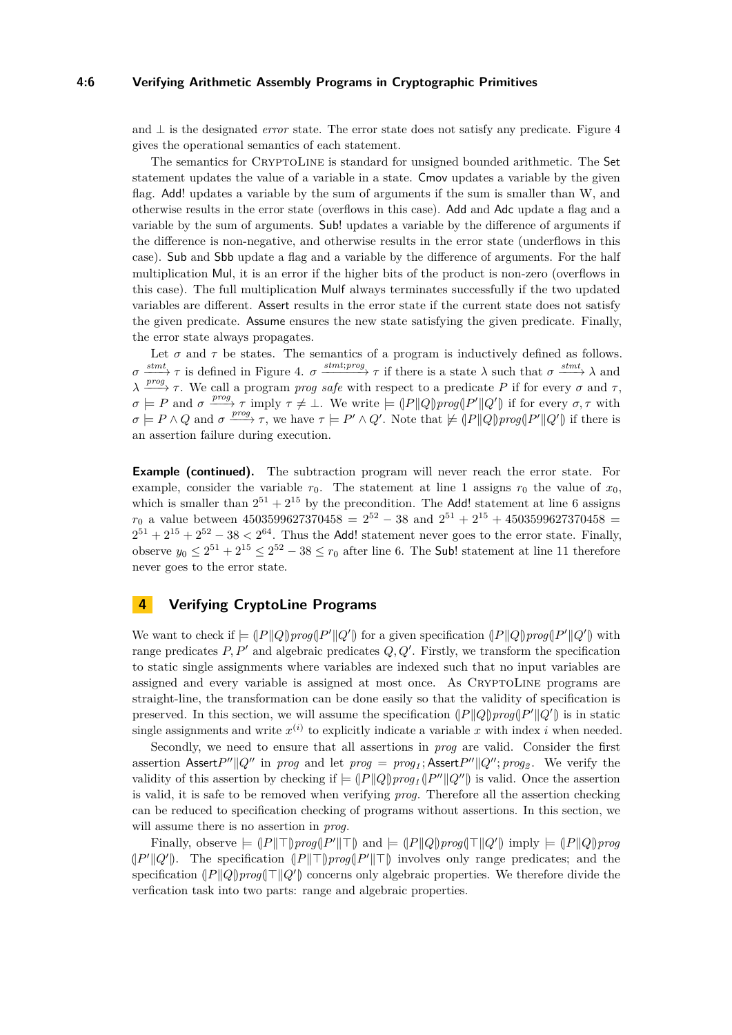#### **4:6 Verifying Arithmetic Assembly Programs in Cryptographic Primitives**

and ⊥ is the designated *error* state. The error state does not satisfy any predicate. Figure [4](#page-6-0) gives the operational semantics of each statement.

The semantics for CryptoLine is standard for unsigned bounded arithmetic. The Set statement updates the value of a variable in a state. Cmov updates a variable by the given flag. Add! updates a variable by the sum of arguments if the sum is smaller than W, and otherwise results in the error state (overflows in this case). Add and Adc update a flag and a variable by the sum of arguments. Sub! updates a variable by the difference of arguments if the difference is non-negative, and otherwise results in the error state (underflows in this case). Sub and Sbb update a flag and a variable by the difference of arguments. For the half multiplication Mul, it is an error if the higher bits of the product is non-zero (overflows in this case). The full multiplication Mulf always terminates successfully if the two updated variables are different. Assert results in the error state if the current state does not satisfy the given predicate. Assume ensures the new state satisfying the given predicate. Finally, the error state always propagates.

Let  $\sigma$  and  $\tau$  be states. The semantics of a program is inductively defined as follows.  $\sigma \xrightarrow{stmt} \tau$  is defined in Figure [4.](#page-6-0)  $\sigma \xrightarrow{stmt;prog} \tau$  if there is a state  $\lambda$  such that  $\sigma \xrightarrow{stmt} \lambda$  and *λ*  $\frac{prog}{r}$  *τ*. We call a program *prog safe* with respect to a predicate *P* if for every *σ* and *τ*,  $\sigma \models P$  and  $\sigma \xrightarrow{prog} \tau$  imply  $\tau \neq \bot$ . We write  $\models (P||Q)prog(P'||Q')$  if for every  $\sigma, \tau$  with  $\sigma = P \wedge Q$  and  $\sigma \xrightarrow{prog} \tau$ , we have  $\tau = P' \wedge Q'$ . Note that  $\not\equiv (P||Q)prog(P'||Q')$  if there is an assertion failure during execution.

**Example (continued).** The subtraction program will never reach the error state. For example, consider the variable  $r_0$ . The statement at line 1 assigns  $r_0$  the value of  $x_0$ , which is smaller than  $2^{51} + 2^{15}$  by the precondition. The Add! statement at line 6 assigns  $r_0$  a value between 4503599627370458 =  $2^{52} - 38$  and  $2^{51} + 2^{15} + 4503599627370458$  =  $2^{51} + 2^{15} + 2^{52} - 38 < 2^{64}$ . Thus the Add! statement never goes to the error state. Finally, observe  $y_0 \n\t\leq 2^{51} + 2^{15} \leq 2^{52} - 38 \leq r_0$  after line 6. The **Sub!** statement at line 11 therefore never goes to the error state.

# <span id="page-5-0"></span>**4 Verifying CryptoLine Programs**

We want to check if  $= (P||Q) \text{prog}(P'||Q')$  for a given specification  $(P||Q) \text{prog}(P'||Q')$  with range predicates  $P, P'$  and algebraic predicates  $Q, Q'$ . Firstly, we transform the specification to static single assignments where variables are indexed such that no input variables are assigned and every variable is assigned at most once. As CRYPTOLINE programs are straight-line, the transformation can be done easily so that the validity of specification is preserved. In this section, we will assume the specification  $(|P||Q)prog(P'||Q')$  is in static single assignments and write  $x^{(i)}$  to explicitly indicate a variable x with index i when needed.

Secondly, we need to ensure that all assertions in *prog* are valid. Consider the first assertion Assert $P''||Q''$  in *prog* and let  $prog = prog_1;$ Assert $P''||Q''; prog_2$ . We verify the validity of this assertion by checking if  $= (P||Q)prog<sub>1</sub>(|P''||Q'')$  is valid. Once the assertion is valid, it is safe to be removed when verifying *prog*. Therefore all the assertion checking can be reduced to specification checking of programs without assertions. In this section, we will assume there is no assertion in *prog*.

Finally, observe  $\models (P \|\top) \text{prog}(P' \|\top)$  and  $\models (P \|\text{Q}) \text{prog}(\top \|\text{Q}')$  imply  $\models (P \|\text{Q}) \text{prog}$  $(|P'||Q'|)$ . The specification  $||P|| \top |$ *prog* $||P'|| \top$  involves only range predicates; and the specification  $||P||Q||$ *prog* $||T||Q'||$  concerns only algebraic properties. We therefore divide the verfication task into two parts: range and algebraic properties.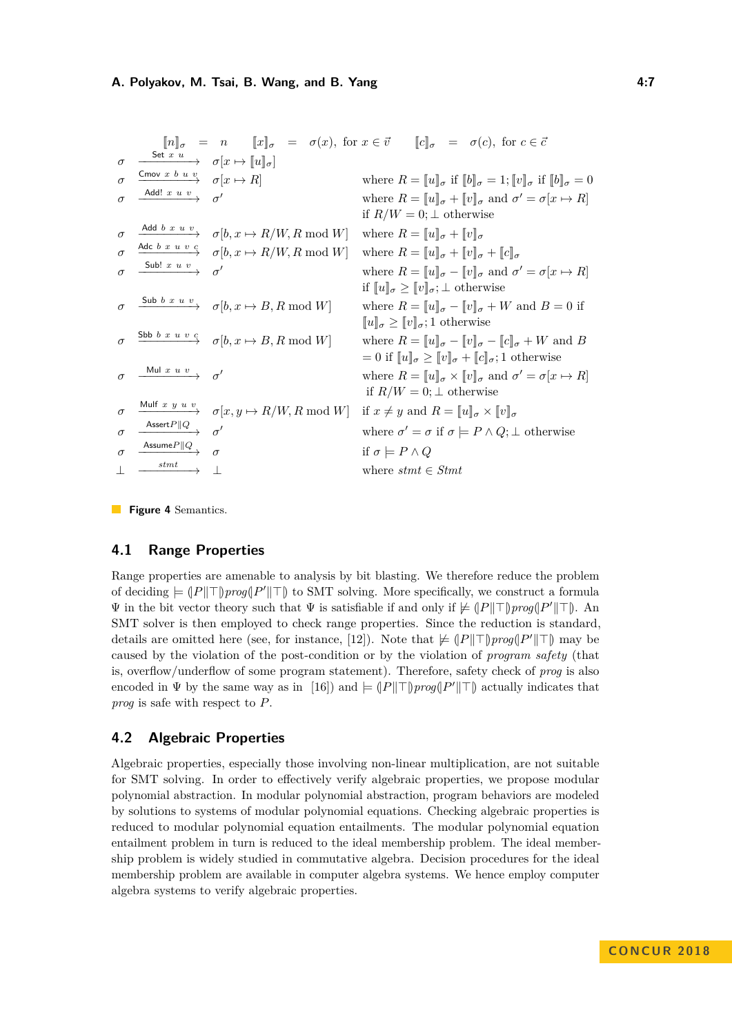<span id="page-6-0"></span>

|          |                                                                           |                                                                                                                 | $[\![n]\!]_{\sigma} = n \quad [\![x]\!]_{\sigma} = \sigma(x), \text{ for } x \in \vec{v} \quad [\![c]\!]_{\sigma} = \sigma(c), \text{ for } c \in \vec{c}$ |
|----------|---------------------------------------------------------------------------|-----------------------------------------------------------------------------------------------------------------|------------------------------------------------------------------------------------------------------------------------------------------------------------|
| $\sigma$ | $\xrightarrow{\text{Set }x\ u}\qquad \sigma[x\mapsto [\![u]\!]_{\sigma}]$ |                                                                                                                 |                                                                                                                                                            |
| $\sigma$ | $\xrightarrow{\text{Cmov } x \ b \ u \ v} \quad \sigma[x \mapsto R]$      |                                                                                                                 | where $R = [u]_{\sigma}$ if $[b]_{\sigma} = 1$ ; $[v]_{\sigma}$ if $[b]_{\sigma} = 0$                                                                      |
| $\sigma$ | $\overline{\xrightarrow{\text{Add! x } u v}} \quad \sigma'$               |                                                                                                                 | where $R = [u]_{\sigma} + [v]_{\sigma}$ and $\sigma' = \sigma[x \mapsto R]$                                                                                |
|          |                                                                           |                                                                                                                 | if $R/W = 0$ ; $\perp$ otherwise                                                                                                                           |
| $\sigma$ |                                                                           | $\xrightarrow{\text{Add } b \ x \ u \ v} \quad \sigma[b, x \mapsto R/W, R \bmod W]$                             | where $R = [u]_{\sigma} + [v]_{\sigma}$                                                                                                                    |
| $\sigma$ |                                                                           | $\xrightarrow{\text{Adc }b\ x\ u\ v\ c} \quad \sigma[b, x \mapsto R/W, R \bmod W]$                              | where $R = [u]_{\sigma} + [v]_{\sigma} + [c]_{\sigma}$                                                                                                     |
| $\sigma$ | $\xrightarrow{\text{Sub! x } u v} \sigma'$                                |                                                                                                                 | where $R = [u]_{\sigma} - [v]_{\sigma}$ and $\sigma' = \sigma[x \mapsto R]$                                                                                |
|          |                                                                           |                                                                                                                 | if $\llbracket u \rrbracket_{\sigma} \geq \llbracket v \rrbracket_{\sigma}; \perp$ otherwise                                                               |
|          |                                                                           | $\sigma \xrightarrow{\text{Sub } b x u v} \sigma[b, x \mapsto B, R \bmod W]$                                    | where $R = [u]_{\sigma} - [v]_{\sigma} + W$ and $B = 0$ if                                                                                                 |
|          |                                                                           |                                                                                                                 | $\llbracket u \rrbracket_{\sigma} \geq \llbracket v \rrbracket_{\sigma}; 1$ otherwise                                                                      |
|          |                                                                           | $\sigma \ \xrightarrow{\text{Sbb } b\text{ } x\text{ } u\text{ } v\text{ } c} \ \sigma[b,x\mapsto B,R \bmod W]$ | where $R = [u]_{\sigma} - [v]_{\sigma} - [c]_{\sigma} + W$ and B                                                                                           |
|          |                                                                           |                                                                                                                 | $= 0$ if $\llbracket u \rrbracket_{\sigma} \geq \llbracket v \rrbracket_{\sigma} + \llbracket c \rrbracket_{\sigma}; 1$ otherwise                          |
|          | $\sigma \xrightarrow{\text{Mul } x \ u \ v} \sigma'$                      |                                                                                                                 | where $R = [u]_{\sigma} \times [v]_{\sigma}$ and $\sigma' = \sigma[x \mapsto R]$                                                                           |
|          |                                                                           |                                                                                                                 | if $R/W = 0$ ; $\perp$ otherwise                                                                                                                           |
| $\sigma$ |                                                                           |                                                                                                                 | $\xrightarrow{\text{Mult } x y u v} \sigma[x, y \mapsto R/W, R \bmod W]$ if $x \neq y$ and $R = [u]_{\sigma} \times [v]_{\sigma}$                          |
| $\sigma$ | $\xrightarrow{\text{Assert}P\ Q} \sigma'$                                 |                                                                                                                 | where $\sigma' = \sigma$ if $\sigma \models P \land Q; \bot$ otherwise                                                                                     |
| $\sigma$ | Assume $P  Q \rightarrow \sigma$                                          |                                                                                                                 | if $\sigma \models P \land Q$                                                                                                                              |
|          | $\xrightarrow{stmt}$                                                      |                                                                                                                 | where $stmt \in Stmt$                                                                                                                                      |
|          |                                                                           |                                                                                                                 |                                                                                                                                                            |

**Figure 4** Semantics.

# **4.1 Range Properties**

Range properties are amenable to analysis by bit blasting. We therefore reduce the problem of deciding  $= (P \| \top) \text{prog}(P' \| \top)$  to SMT solving. More specifically, we construct a formula  $\Psi$  in the bit vector theory such that  $\Psi$  is satisfiable if and only if  $\neq$  (*P*||<sup>T</sup>)*prog*(|*P*'||<sup>T</sup>). An SMT solver is then employed to check range properties. Since the reduction is standard, details are omitted here (see, for instance, [\[12\]](#page-15-16)). Note that  $\not\models$   $||P|| \top |$ *prog* $||P'|| \top$ *f* may be caused by the violation of the post-condition or by the violation of *program safety* (that is, overflow/underflow of some program statement). Therefore, safety check of *prog* is also encoded in  $\Psi$  by the same way as in [\[16\]](#page-15-1)) and  $\models (P||\top)proj(P'||\top)$  actually indicates that *prog* is safe with respect to *P*.

## **4.2 Algebraic Properties**

Algebraic properties, especially those involving non-linear multiplication, are not suitable for SMT solving. In order to effectively verify algebraic properties, we propose modular polynomial abstraction. In modular polynomial abstraction, program behaviors are modeled by solutions to systems of modular polynomial equations. Checking algebraic properties is reduced to modular polynomial equation entailments. The modular polynomial equation entailment problem in turn is reduced to the ideal membership problem. The ideal membership problem is widely studied in commutative algebra. Decision procedures for the ideal membership problem are available in computer algebra systems. We hence employ computer algebra systems to verify algebraic properties.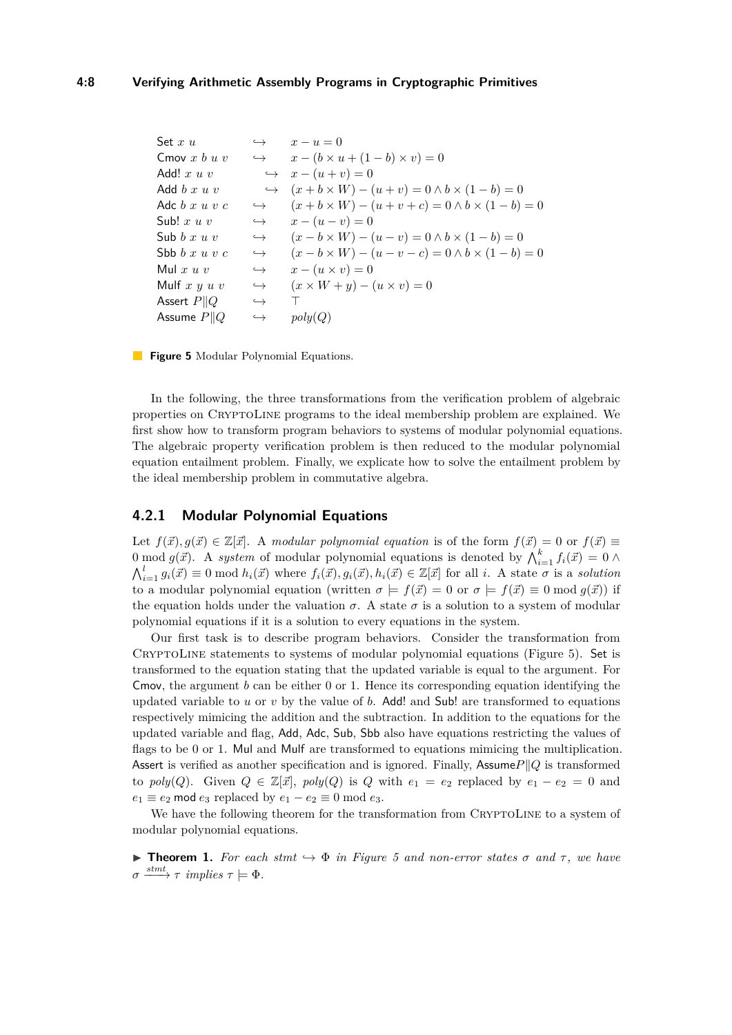<span id="page-7-0"></span>

| Set $x u$               | $\hookrightarrow$ | $x-u=0$                                                          |
|-------------------------|-------------------|------------------------------------------------------------------|
| Cmov $x b u v$          |                   | $\leftrightarrow \qquad x - (b \times u + (1 - b) \times v) = 0$ |
| Add! $x u v$            |                   | $\leftrightarrow$ $x - (u + v) = 0$                              |
| Add $b x u v$           |                   | $\leftrightarrow (x+b\times W)-(u+v)=0 \wedge b\times (1-b)=0$   |
| Adc $b x u v c$         | $\hookrightarrow$ | $(x + b \times W) - (u + v + c) = 0 \wedge b \times (1 - b) = 0$ |
| Sub! $x u v$            | $\hookrightarrow$ | $x - (u - v) = 0$                                                |
| Sub $b x u v$           | $\hookrightarrow$ | $(x - b \times W) - (u - v) = 0 \wedge b \times (1 - b) = 0$     |
| Sbb $b x u v c$         | $\hookrightarrow$ | $(x - b \times W) - (u - v - c) = 0 \wedge b \times (1 - b) = 0$ |
| Mul $x u v$             | $\hookrightarrow$ | $x-(u\times v)=0$                                                |
| Mulf $x \, y \, u \, v$ | $\hookrightarrow$ | $(x \times W + y) - (u \times v) = 0$                            |
| Assert $P  Q$           | $\hookrightarrow$ |                                                                  |
| Assume $P  Q$           | $\hookrightarrow$ | poly(Q)                                                          |

**Figure 5** Modular Polynomial Equations.

In the following, the three transformations from the verification problem of algebraic properties on CryptoLine programs to the ideal membership problem are explained. We first show how to transform program behaviors to systems of modular polynomial equations. The algebraic property verification problem is then reduced to the modular polynomial equation entailment problem. Finally, we explicate how to solve the entailment problem by the ideal membership problem in commutative algebra.

## **4.2.1 Modular Polynomial Equations**

Let  $f(\vec{x}), g(\vec{x}) \in \mathbb{Z}[\vec{x}]$ . A *modular polynomial equation* is of the form  $f(\vec{x}) = 0$  or  $f(\vec{x}) \equiv$ 0 mod  $g(\vec{x})$ . A *system* of modular polynomial equations is denoted by  $\bigwedge_{i=1}^{k} f_i(\vec{x}) = 0 \wedge$  $\bigwedge_{i=1}^{l} g_i(\vec{x}) \equiv 0 \bmod h_i(\vec{x})$  where  $f_i(\vec{x}), g_i(\vec{x}), h_i(\vec{x}) \in \mathbb{Z}[\vec{x}]$  for all i. A state  $\sigma$  is a solution to a modular polynomial equation (written  $\sigma = f(\vec{x}) = 0$  or  $\sigma = f(\vec{x}) \equiv 0 \mod g(\vec{x})$ ) if the equation holds under the valuation  $\sigma$ . A state  $\sigma$  is a solution to a system of modular polynomial equations if it is a solution to every equations in the system.

Our first task is to describe program behaviors. Consider the transformation from CRYPTOLINE statements to systems of modular polynomial equations (Figure [5\)](#page-7-0). Set is transformed to the equation stating that the updated variable is equal to the argument. For Cmov, the argument *b* can be either 0 or 1. Hence its corresponding equation identifying the updated variable to *u* or *v* by the value of *b*. Add! and Sub! are transformed to equations respectively mimicing the addition and the subtraction. In addition to the equations for the updated variable and flag, Add, Adc, Sub, Sbb also have equations restricting the values of flags to be 0 or 1. Mul and Mulf are transformed to equations mimicing the multiplication. Assert is verified as another specification and is ignored. Finally, Assume  $P||Q$  is transformed to *poly*(*Q*). Given  $Q \in \mathbb{Z}[\vec{x}]$ , *poly*(*Q*) is *Q* with  $e_1 = e_2$  replaced by  $e_1 - e_2 = 0$  and  $e_1 \equiv e_2 \mod e_3$  replaced by  $e_1 - e_2 \equiv 0 \mod e_3$ .

We have the following theorem for the transformation from CRYPTOLINE to a system of modular polynomial equations.

<span id="page-7-1"></span>**► Theorem 1.** For each stmt  $\hookrightarrow$   $\Phi$  *in Figure [5](#page-7-0) and non-error states*  $\sigma$  *and*  $\tau$ *, we have*  $\sigma \xrightarrow{stmt} \tau$  *implies*  $\tau \models \Phi$ .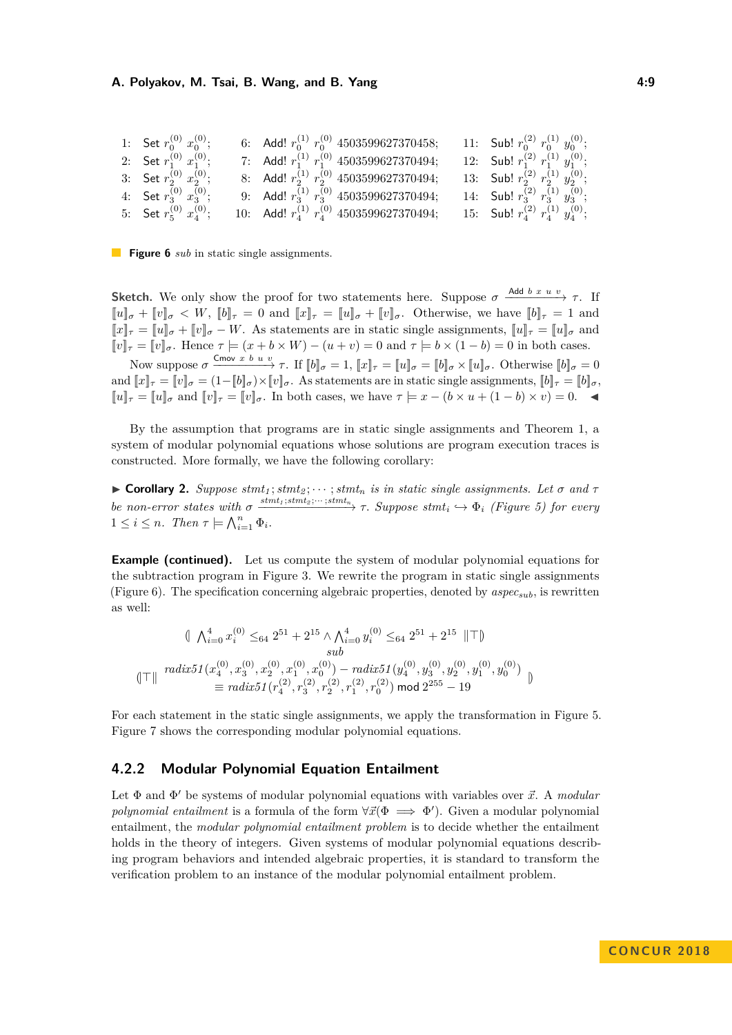#### **A. Polyakov, M. Tsai, B. Wang, and B. Yang 19. The Contract of Australian Australian Australian Australian Australian Australian Australian Australian Australian Australian Australian Australian Australian Australian Aust**

<span id="page-8-0"></span>

| 1: Set $r_0^{(0)} x_0^{(0)}$ ;   | 6: Add! $r_0^{(1)}$ $r_0^{(0)}$ 4503599627370458;  | 11: Sub! $r_0^{(2)} r_0^{(1)} y_0^{(0)}$ ;     |
|----------------------------------|----------------------------------------------------|------------------------------------------------|
| 2: Set $r_1^{(0)}$ $x_1^{(0)}$ ; | 7: Add! $r_1^{(1)}$ $r_1^{(0)}$ 4503599627370494;  | 12: Sub! $r_1^{(2)} r_1^{(1)} y_1^{(0)}$ ;     |
| 3: Set $r_2^{(0)}$ $x_2^{(0)}$ ; | 8: Add! $r_2^{(1)}$ $r_2^{(0)}$ 4503599627370494;  | 13: Sub! $r_2^{(2)}$ $r_2^{(1)}$ $y_2^{(0)}$ ; |
| 4: Set $r_3^{(0)}$ $x_3^{(0)}$ ; | 9: Add! $r_3^{(1)}$ $r_3^{(0)}$ 4503599627370494;  | 14: Sub! $r_3^{(2)} r_3^{(1)} y_3^{(0)}$ ;     |
| 5: Set $r_5^{(0)}$ $x_4^{(0)}$ ; | 10: Add! $r_4^{(1)}$ $r_4^{(0)}$ 4503599627370494; | 15: Sub! $r_4^{(2)} r_4^{(1)} y_4^{(0)}$ ;     |

**Figure 6** *sub* in static single assignments.

**Sketch.** We only show the proof for two statements here. Suppose  $\sigma \xrightarrow{\text{Add } b x u v} \tau$ . If  $\llbracket u \rrbracket_{\sigma} + \llbracket v \rrbracket_{\sigma} < W$ ,  $\llbracket b \rrbracket_{\tau} = 0$  and  $\llbracket x \rrbracket_{\tau} = \llbracket u \rrbracket_{\sigma} + \llbracket v \rrbracket_{\sigma}$ . Otherwise, we have  $\llbracket b \rrbracket_{\tau} = 1$  and  $||x||_{\tau} = ||u||_{\sigma} + ||v||_{\sigma} - W$ . As statements are in static single assignments,  $||u||_{\tau} = ||u||_{\sigma}$  and  $\llbracket v \rrbracket_{\tau} = \llbracket v \rrbracket_{\sigma}$ . Hence  $\tau \models (x + b \times W) - (u + v) = 0$  and  $\tau \models b \times (1 - b) = 0$  in both cases.

Now suppose  $\sigma \xrightarrow{\text{Cmov } x \ b \ u \ v} \tau$ . If  $[[b]]_{\sigma} = 1$ ,  $[[x]_{\tau} = [[u]]_{\sigma} = [[b]]_{\sigma} \times [[u]]_{\sigma}$ . Otherwise  $[[b]]_{\sigma} = 0$ and  $[x]_{\tau} = [v]_{\sigma} = (1 - [b]_{\sigma}) \times [v]_{\sigma}$ . As statements are in static single assignments,  $[b]_{\tau} = [b]_{\sigma}$ ,  $\llbracket u \rrbracket_{\tau} = \llbracket u \rrbracket_{\sigma}$  and  $\llbracket v \rrbracket_{\tau} = \llbracket v \rrbracket_{\sigma}$ . In both cases, we have  $\tau \models x - (b \times u + (1 - b) \times v) = 0$ .

By the assumption that programs are in static single assignments and Theorem [1,](#page-7-1) a system of modular polynomial equations whose solutions are program execution traces is constructed. More formally, we have the following corollary:

 $\triangleright$  **Corollary 2.** *Suppose stmt*<sub>1</sub>; *stmt*<sub>2</sub>; · · · ; *stmt*<sub>n</sub> *is in static single assignments. Let*  $\sigma$  *and*  $\tau$ be non-error states with  $\sigma \xrightarrow{stmt_1;stmt_2; \dots;stmt_n} \tau$ . Suppose stmt<sub>i</sub>  $\hookrightarrow \Phi_i$  (Figure [5\)](#page-7-0) for every  $1 \leq i \leq n$ *. Then*  $\tau \models \bigwedge_{i=1}^{n} \Phi_i$ *.* 

**Example (continued).** Let us compute the system of modular polynomial equations for the subtraction program in Figure [3.](#page-4-1) We rewrite the program in static single assignments (Figure [6\)](#page-8-0). The specification concerning algebraic properties, denoted by *aspecsub*, is rewritten as well:

$$
\begin{aligned}\n&\|\n\bigwedge_{i=0}^{4} x_i^{(0)} \leq_{64} 2^{51} + 2^{15} \wedge \bigwedge_{i=0}^{4} y_i^{(0)} \leq_{64} 2^{51} + 2^{15} \|\top\| \\
&\text{sub} \\
\|\top\| \quad \text{radix51}(x_4^{(0)}, x_3^{(0)}, x_2^{(0)}, x_1^{(0)}, x_0^{(0)}) - \text{radix51}(y_4^{(0)}, y_3^{(0)}, y_2^{(0)}, y_1^{(0)}, y_0^{(0)}) \\
&\equiv \text{radix51}(r_4^{(2)}, r_3^{(2)}, r_2^{(2)}, r_1^{(2)}, r_0^{(2)}) \mod 2^{255} - 19\n\end{aligned}\n\big)\n\big\}
$$

For each statement in the static single assignments, we apply the transformation in Figure [5.](#page-7-0) Figure [7](#page-9-0) shows the corresponding modular polynomial equations.

### **4.2.2 Modular Polynomial Equation Entailment**

Let  $\Phi$  and  $\Phi'$  be systems of modular polynomial equations with variables over  $\vec{x}$ . A *modular polynomial entailment* is a formula of the form  $\forall \vec{x}(\Phi \implies \Phi')$ . Given a modular polynomial entailment, the *modular polynomial entailment problem* is to decide whether the entailment holds in the theory of integers. Given systems of modular polynomial equations describing program behaviors and intended algebraic properties, it is standard to transform the verification problem to an instance of the modular polynomial entailment problem.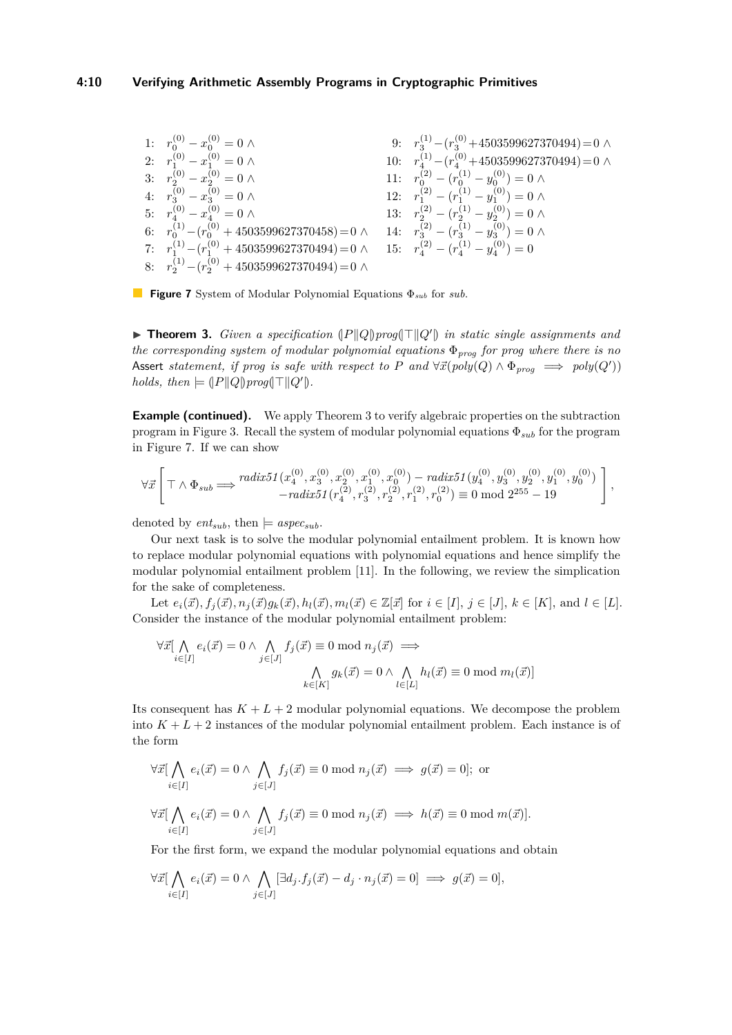#### **4:10 Verifying Arithmetic Assembly Programs in Cryptographic Primitives**

<span id="page-9-0"></span>1: 
$$
r_0^{(0)} - x_0^{(0)} = 0 \land
$$
  
\n2:  $r_1^{(0)} - x_1^{(0)} = 0 \land$   
\n3:  $r_2^{(0)} - x_2^{(0)} = 0 \land$   
\n4:  $r_3^{(0)} - x_4^{(0)} = 0 \land$   
\n5:  $r_4^{(1)} - (r_0^{(0)} + 4503599627370494) = 0 \land$   
\n6:  $r_0^{(1)} - (r_0^{(0)} + 4503599627370458) = 0 \land$   
\n7:  $r_1^{(1)} - (r_1^{(0)} + 4503599627370458) = 0 \land$   
\n8:  $r_2^{(2)} - (r_2^{(1)} - y_2^{(0)}) = 0 \land$   
\n9:  $r_3^{(1)} - (r_3^{(0)} + 4503599627370494) = 0 \land$   
\n10:  $r_4^{(1)} - (r_4^{(0)} + 4503599627370494) = 0 \land$   
\n11:  $r_0^{(2)} - (r_0^{(1)} - y_0^{(0)}) = 0 \land$   
\n12:  $r_1^{(2)} - (r_1^{(1)} - y_1^{(0)}) = 0 \land$   
\n13:  $r_2^{(2)} - (r_2^{(1)} - y_2^{(0)}) = 0 \land$   
\n14:  $r_3^{(2)} - (r_3^{(1)} - y_3^{(0)}) = 0 \land$   
\n15:  $r_4^{(2)} - (r_4^{(1)} - y_4^{(0)}) = 0$   
\n8:  $r_2^{(1)} - (r_2^{(0)} + 4503599627370494) = 0 \land$ 



<span id="page-9-1"></span>**Findment 3.** *Given a specification*  $\{P \| Q \} prog(\top \| Q')$  *in static single assignments and the corresponding system of modular polynomial equations* Φ*prog for prog where there is no* Assert *statement, if prog is safe with respect to*  $P$  *and*  $\forall \vec{x} (poly(Q) \land \Phi_{prog} \implies poly(Q'))$ *holds, then*  $\models (P||Q)prog(T||Q').$ 

**Example (continued).** We apply Theorem [3](#page-9-1) to verify algebraic properties on the subtraction program in Figure [3.](#page-4-1) Recall the system of modular polynomial equations Φ*sub* for the program in Figure [7.](#page-9-0) If we can show

$$
\forall \vec{x} \left[\top \wedge \Phi_{sub} \Longrightarrow \begin{matrix} radix 51 \,(x_4^{(0)},x_3^{(0)},x_2^{(0)},x_1^{(0)},x_0^{(0)}) - radix 51 \,(y_4^{(0)},y_3^{(0)},y_2^{(0)},y_1^{(0)},y_0^{(0)}) \\ - radix 51 \,(r_4^{(2)},r_3^{(2)},r_2^{(2)},r_1^{(2)},r_0^{(2)}) \equiv 0 \bmod 2^{255}-19 \end{matrix}\right],
$$

denoted by  $ent_{sub}$ , then  $\models$  *aspec<sub>sub</sub>*.

Our next task is to solve the modular polynomial entailment problem. It is known how to replace modular polynomial equations with polynomial equations and hence simplify the modular polynomial entailment problem [\[11\]](#page-15-17). In the following, we review the simplication for the sake of completeness.

Let  $e_i(\vec{x}), f_i(\vec{x}), n_i(\vec{x})g_k(\vec{x}), h_l(\vec{x}), m_l(\vec{x}) \in \mathbb{Z}[\vec{x}]$  for  $i \in [I], j \in [J], k \in [K]$ , and  $l \in [L]$ . Consider the instance of the modular polynomial entailment problem:

$$
\forall \vec{x} \left[ \bigwedge_{i \in [I]} e_i(\vec{x}) = 0 \land \bigwedge_{j \in [J]} f_j(\vec{x}) \equiv 0 \mod n_j(\vec{x}) \implies \bigwedge_{k \in [K]} g_k(\vec{x}) = 0 \land \bigwedge_{l \in [L]} h_l(\vec{x}) \equiv 0 \mod m_l(\vec{x}) \right]
$$

Its consequent has  $K + L + 2$  modular polynomial equations. We decompose the problem into  $K + L + 2$  instances of the modular polynomial entailment problem. Each instance is of the form

$$
\forall \vec{x} \left[ \bigwedge_{i \in [I]} e_i(\vec{x}) = 0 \land \bigwedge_{j \in [J]} f_j(\vec{x}) \equiv 0 \bmod n_j(\vec{x}) \implies g(\vec{x}) = 0 \right]; \text{ or}
$$

$$
\forall \vec{x} \left[ \bigwedge_{i \in [I]} e_i(\vec{x}) = 0 \land \bigwedge_{j \in [J]} f_j(\vec{x}) \equiv 0 \bmod n_j(\vec{x}) \implies h(\vec{x}) \equiv 0 \bmod m(\vec{x}).
$$

For the first form, we expand the modular polynomial equations and obtain

$$
\forall \vec{x} \left[ \bigwedge_{i \in [I]} e_i(\vec{x}) = 0 \land \bigwedge_{j \in [J]} [\exists d_j. f_j(\vec{x}) - d_j \cdot n_j(\vec{x}) = 0] \implies g(\vec{x}) = 0],
$$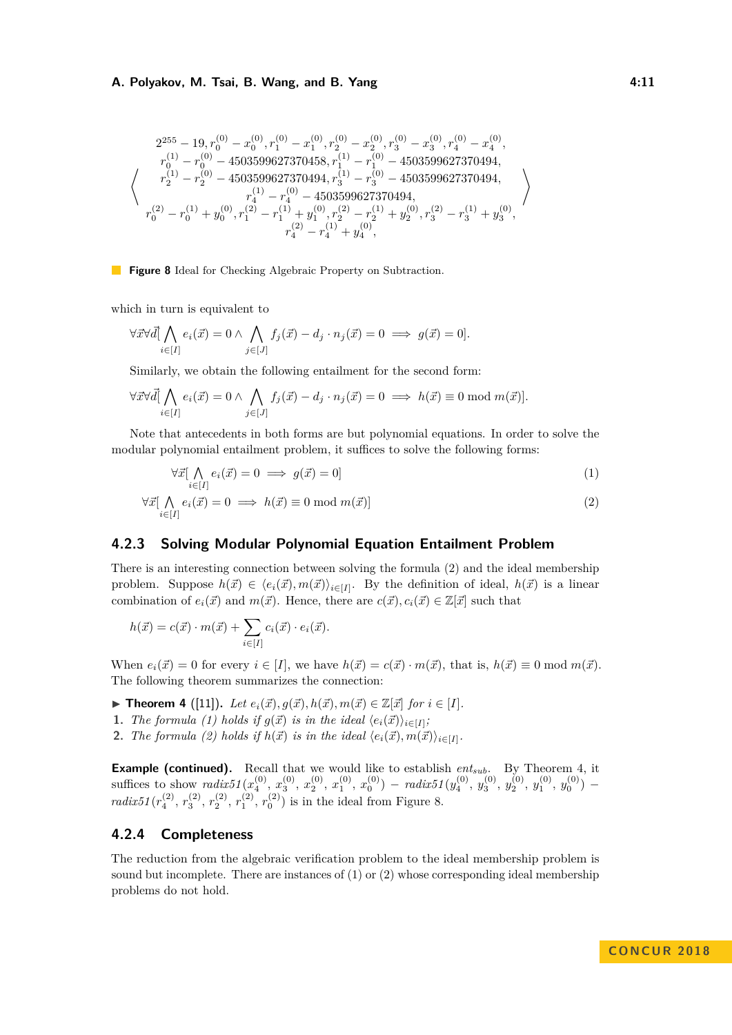#### **A. Polyakov, M. Tsai, B. Wang, and B. Yang 19. 12. 13. 13. 13. 14.11**

<span id="page-10-2"></span>
$$
\left\langle \begin{array}{c} 2^{255}-19, r_0^{(0)}-x_0^{(0)}, r_1^{(0)}-x_1^{(0)}, r_2^{(0)}-x_2^{(0)}, r_3^{(0)}-x_3^{(0)}, r_4^{(0)}-x_4^{(0)}, \\ r_0^{(1)}-r_0^{(0)}-4503599627370458, r_1^{(1)}-r_1^{(0)}-4503599627370494, \\ r_2^{(1)}-r_2^{(0)}-4503599627370494, r_3^{(1)}-r_3^{(0)}-4503599627370494, \\ r_4^{(1)}-r_4^{(0)}-4503599627370494, \\ r_0^{(2)}-r_0^{(1)}+y_0^{(0)}, r_1^{(2)}-r_1^{(1)}+y_1^{(0)}, r_2^{(2)}-r_2^{(1)}+y_2^{(0)}, r_3^{(2)}-r_3^{(1)}+y_3^{(0)}, \\ r_4^{(2)}-r_4^{(1)}+y_4^{(0)}, \end{array} \right\rangle
$$

**Figure 8** Ideal for Checking Algebraic Property on Subtraction.

which in turn is equivalent to

$$
\forall \vec{x} \forall \vec{d} \big[ \bigwedge_{i \in [I]} e_i(\vec{x}) = 0 \land \bigwedge_{j \in [J]} f_j(\vec{x}) - d_j \cdot n_j(\vec{x}) = 0 \implies g(\vec{x}) = 0].
$$

Similarly, we obtain the following entailment for the second form:

$$
\forall \vec{x} \forall \vec{d} \big[ \bigwedge_{i \in [I]} e_i(\vec{x}) = 0 \land \bigwedge_{j \in [J]} f_j(\vec{x}) - d_j \cdot n_j(\vec{x}) = 0 \implies h(\vec{x}) \equiv 0 \mod m(\vec{x}).
$$

Note that antecedents in both forms are but polynomial equations. In order to solve the modular polynomial entailment problem, it suffices to solve the following forms:

<span id="page-10-0"></span>
$$
\forall \vec{x} \left[ \bigwedge_{i \in [I]} e_i(\vec{x}) = 0 \implies g(\vec{x}) = 0 \right] \tag{1}
$$

$$
\forall \vec{x} \big[ \bigwedge_{i \in [I]} e_i(\vec{x}) = 0 \implies h(\vec{x}) \equiv 0 \bmod m(\vec{x}) \big]
$$
(2)

# **4.2.3 Solving Modular Polynomial Equation Entailment Problem**

There is an interesting connection between solving the formula [\(2\)](#page-10-0) and the ideal membership problem. Suppose  $h(\vec{x}) \in \langle e_i(\vec{x}), m(\vec{x}) \rangle_{i \in [I]}$ . By the definition of ideal,  $h(\vec{x})$  is a linear combination of  $e_i(\vec{x})$  and  $m(\vec{x})$ . Hence, there are  $c(\vec{x}), c_i(\vec{x}) \in \mathbb{Z}[\vec{x}]$  such that

$$
h(\vec{x}) = c(\vec{x}) \cdot m(\vec{x}) + \sum_{i \in [I]} c_i(\vec{x}) \cdot e_i(\vec{x}).
$$

When  $e_i(\vec{x}) = 0$  for every  $i \in [I]$ , we have  $h(\vec{x}) = c(\vec{x}) \cdot m(\vec{x})$ , that is,  $h(\vec{x}) \equiv 0 \mod m(\vec{x})$ . The following theorem summarizes the connection:

▶ **Theorem 4** ([\[11\]](#page-15-17)). *Let*  $e_i(\vec{x}), g(\vec{x}), h(\vec{x}), m(\vec{x}) \in \mathbb{Z}[\vec{x}]$  *for*  $i \in [I]$ *.* 

- **1.** *The formula* [\(1\)](#page-10-0) *holds* if  $g(\vec{x})$  is in the ideal  $\langle e_i(\vec{x}) \rangle_{i \in [I]}$ ;
- <span id="page-10-1"></span>**2.** *The formula* [\(2\)](#page-10-0) *holds* if  $h(\vec{x})$  is in the ideal  $\langle e_i(\vec{x}), m(\vec{x}) \rangle_{i \in [I]}$ .

**Example (continued).** Recall that we would like to establish *entsub*. By Theorem [4,](#page-10-1) it suffices to show  $\text{radix51}(x_4^{(0)}, x_3^{(0)}, x_2^{(0)}, x_1^{(0)}, x_0^{(0)}) - \text{radix51}(y_4^{(0)}, y_3^{(0)}, y_2^{(0)}, y_1^{(0)}, y_0^{(0)})$ *radix51* ( $r_4^{(2)}$ ,  $r_3^{(2)}$ ,  $r_2^{(2)}$ ,  $r_1^{(2)}$ ,  $r_0^{(2)}$ ) is in the ideal from Figure [8.](#page-10-2)

#### **4.2.4 Completeness**

The reduction from the algebraic verification problem to the ideal membership problem is sound but incomplete. There are instances of  $(1)$  or  $(2)$  whose corresponding ideal membership problems do not hold.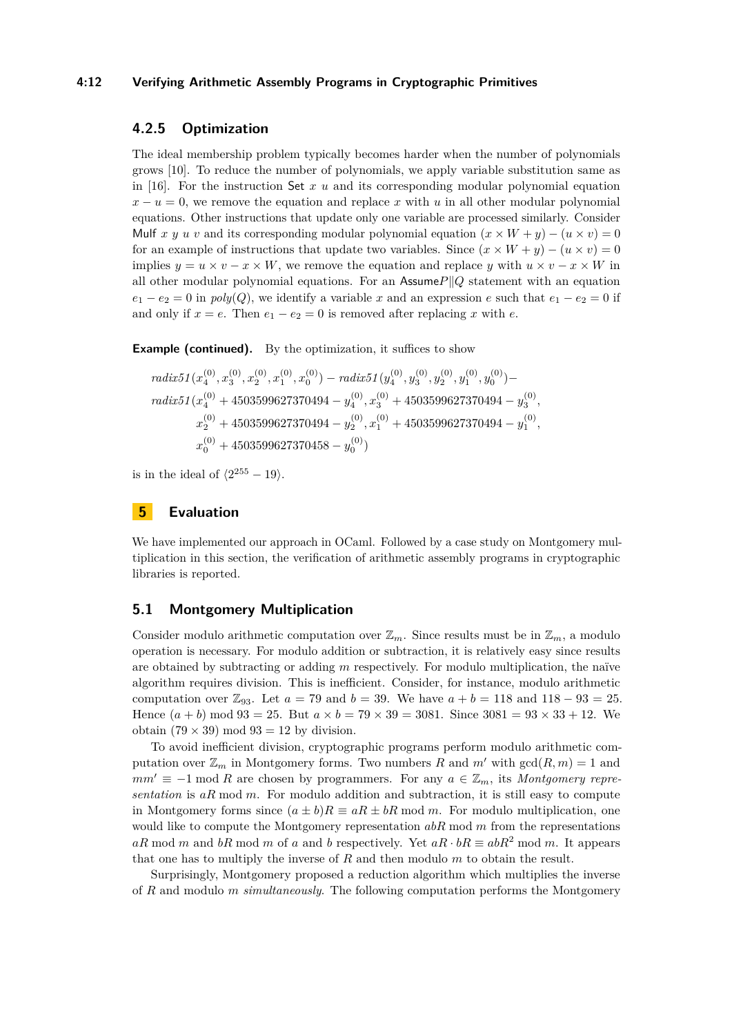#### **4:12 Verifying Arithmetic Assembly Programs in Cryptographic Primitives**

## **4.2.5 Optimization**

The ideal membership problem typically becomes harder when the number of polynomials grows [\[10\]](#page-15-18). To reduce the number of polynomials, we apply variable substitution same as in [\[16\]](#page-15-1). For the instruction Set *x u* and its corresponding modular polynomial equation  $x - u = 0$ , we remove the equation and replace *x* with *u* in all other modular polynomial equations. Other instructions that update only one variable are processed similarly. Consider Mulf *x y u v* and its corresponding modular polynomial equation  $(x \times W + y) - (u \times v) = 0$ for an example of instructions that update two variables. Since  $(x \times W + y) - (u \times v) = 0$ implies  $y = u \times v - x \times W$ , we remove the equation and replace *y* with  $u \times v - x \times W$  in all other modular polynomial equations. For an Assume $P||Q$  statement with an equation  $e_1 - e_2 = 0$  in  $poly(Q)$ , we identify a variable *x* and an expression *e* such that  $e_1 - e_2 = 0$  if and only if  $x = e$ . Then  $e_1 - e_2 = 0$  is removed after replacing x with e.

**Example (continued).** By the optimization, it suffices to show

$$
\begin{aligned} \operatorname{radix51}(x_4^{(0)}, x_3^{(0)}, x_2^{(0)}, x_1^{(0)}, x_0^{(0)}) - \operatorname{radix51}(y_4^{(0)}, y_3^{(0)}, y_2^{(0)}, y_1^{(0)}, y_0^{(0)}) - \\ \operatorname{radix51}(x_4^{(0)} + 4503599627370494 - y_4^{(0)}, x_3^{(0)} + 4503599627370494 - y_3^{(0)}, \\ x_2^{(0)} + 4503599627370494 - y_2^{(0)}, x_1^{(0)} + 4503599627370494 - y_1^{(0)}, \\ x_0^{(0)} + 4503599627370458 - y_0^{(0)}) \end{aligned}
$$

is in the ideal of  $\langle 2^{255} - 19 \rangle$ .

## <span id="page-11-0"></span>**5 Evaluation**

We have implemented our approach in OCaml. Followed by a case study on Montgomery multiplication in this section, the verification of arithmetic assembly programs in cryptographic libraries is reported.

#### **5.1 Montgomery Multiplication**

Consider modulo arithmetic computation over  $\mathbb{Z}_m$ . Since results must be in  $\mathbb{Z}_m$ , a modulo operation is necessary. For modulo addition or subtraction, it is relatively easy since results are obtained by subtracting or adding *m* respectively. For modulo multiplication, the naïve algorithm requires division. This is inefficient. Consider, for instance, modulo arithmetic computation over  $\mathbb{Z}_{93}$ . Let  $a = 79$  and  $b = 39$ . We have  $a + b = 118$  and  $118 - 93 = 25$ . Hence  $(a + b)$  mod  $93 = 25$ . But  $a \times b = 79 \times 39 = 3081$ . Since  $3081 = 93 \times 33 + 12$ . We obtain  $(79 \times 39)$  mod  $93 = 12$  by division.

To avoid inefficient division, cryptographic programs perform modulo arithmetic computation over  $\mathbb{Z}_m$  in Montgomery forms. Two numbers *R* and *m'* with  $gcd(R, m) = 1$  and  $mm' \equiv -1 \mod R$  are chosen by programmers. For any  $a \in \mathbb{Z}_m$ , its *Montgomery representation* is *aR* mod *m*. For modulo addition and subtraction, it is still easy to compute in Montgomery forms since  $(a \pm b)R \equiv aR \pm bR \mod m$ . For modulo multiplication, one would like to compute the Montgomery representation *abR* mod *m* from the representations *aR* mod *m* and *bR* mod *m* of *a* and *b* respectively. Yet  $aR \cdot bR \equiv abR^2 \mod m$ . It appears that one has to multiply the inverse of *R* and then modulo *m* to obtain the result.

Surprisingly, Montgomery proposed a reduction algorithm which multiplies the inverse of *R* and modulo *m simultaneously*. The following computation performs the Montgomery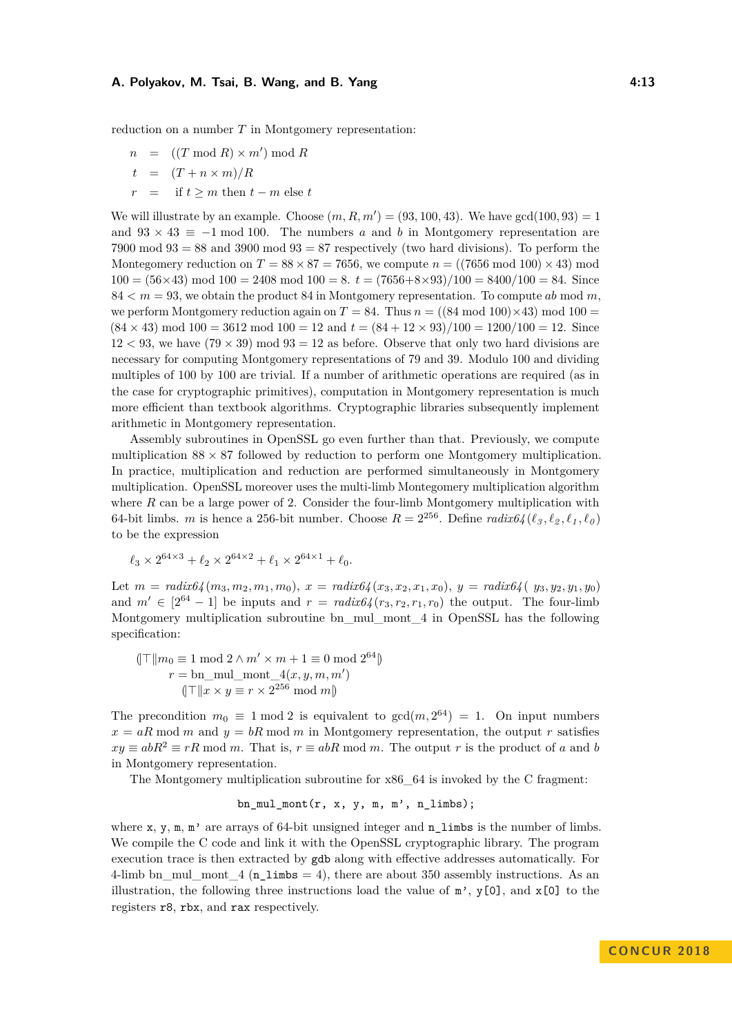reduction on a number *T* in Montgomery representation:

- $n = ((T \mod R) \times m') \mod R$  $t = (T + n \times m)/R$
- $=$  if  $t \geq m$  then  $t m$  else  $t$

We will illustrate by an example. Choose  $(m, R, m') = (93, 100, 43)$ . We have gcd $(100, 93) = 1$ and  $93 \times 43 \equiv -1 \mod 100$ . The numbers *a* and *b* in Montgomery representation are  $7900 \text{ mod } 93 = 88$  and  $3900 \text{ mod } 93 = 87$  respectively (two hard divisions). To perform the Montegomery reduction on  $T = 88 \times 87 = 7656$ , we compute  $n = ((7656 \text{ mod } 100) \times 43) \text{ mod } 100$  $100 = (56 \times 43) \text{ mod } 100 = 2408 \text{ mod } 100 = 8$ .  $t = (7656 + 8 \times 93)/100 = 8400/100 = 84$ . Since  $84 < m = 93$ , we obtain the product 84 in Montgomery representation. To compute ab mod m, we perform Montgomery reduction again on  $T = 84$ . Thus  $n = ((84 \text{ mod } 100) \times 43) \text{ mod } 100 =$  $(84 \times 43) \text{ mod } 100 = 3612 \text{ mod } 100 = 12 \text{ and } t = (84 + 12 \times 93)/100 = 1200/100 = 12.$  Since  $12 < 93$ , we have  $(79 \times 39)$  mod  $93 = 12$  as before. Observe that only two hard divisions are necessary for computing Montgomery representations of 79 and 39. Modulo 100 and dividing multiples of 100 by 100 are trivial. If a number of arithmetic operations are required (as in the case for cryptographic primitives), computation in Montgomery representation is much more efficient than textbook algorithms. Cryptographic libraries subsequently implement arithmetic in Montgomery representation.

Assembly subroutines in OpenSSL go even further than that. Previously, we compute multiplication  $88 \times 87$  followed by reduction to perform one Montgomery multiplication. In practice, multiplication and reduction are performed simultaneously in Montgomery multiplication. OpenSSL moreover uses the multi-limb Montegomery multiplication algorithm where *R* can be a large power of 2. Consider the four-limb Montgomery multiplication with 64-bit limbs. *m* is hence a 256-bit number. Choose  $R = 2^{256}$ . Define  $\text{radix64} (\ell_3, \ell_2, \ell_1, \ell_0)$ to be the expression

$$
\ell_3 \times 2^{64 \times 3} + \ell_2 \times 2^{64 \times 2} + \ell_1 \times 2^{64 \times 1} + \ell_0.
$$

Let  $m = \text{radix}64(m_3, m_2, m_1, m_0), x = \text{radix}64(x_3, x_2, x_1, x_0), y = \text{radix}64(u_3, y_2, y_1, y_0)$ and  $m' \in [2^{64} - 1]$  be inputs and  $r = \text{radix}64(r_3, r_2, r_1, r_0)$  the output. The four-limb Montgomery multiplication subroutine bn\_mul\_mont\_4 in OpenSSL has the following specification:

$$
\|\top\|m_0 \equiv 1 \mod 2 \land m' \times m + 1 \equiv 0 \mod 2^{64}\n\}
$$
\n
$$
r = \text{bn\_mul\_mont\_4}(x, y, m, m')
$$
\n
$$
(\|\top\|x \times y \equiv r \times 2^{256} \mod m)
$$

The precondition  $m_0 \equiv 1 \mod 2$  is equivalent to  $gcd(m, 2^{64}) = 1$ . On input numbers  $x = aR \mod m$  and  $y = bR \mod m$  in Montgomery representation, the output *r* satisfies  $xy \equiv abR^2 \equiv rR \mod m$ . That is,  $r \equiv abR \mod m$ . The output *r* is the product of *a* and *b* in Montgomery representation.

The Montgomery multiplication subroutine for x86\_64 is invoked by the C fragment:

$$
\verb&bn_mull_mont(r, x, y, m, m', n_limbs);
$$

where  $x$ ,  $y$ ,  $m$ ,  $m'$  are arrays of 64-bit unsigned integer and  $n$  limbs is the number of limbs. We compile the C code and link it with the OpenSSL cryptographic library. The program execution trace is then extracted by gdb along with effective addresses automatically. For 4-limb bn\_mul\_mont\_4 ( $n_$ limbs = 4), there are about 350 assembly instructions. As an illustration, the following three instructions load the value of  $m'$ , y[0], and x[0] to the registers r8, rbx, and rax respectively.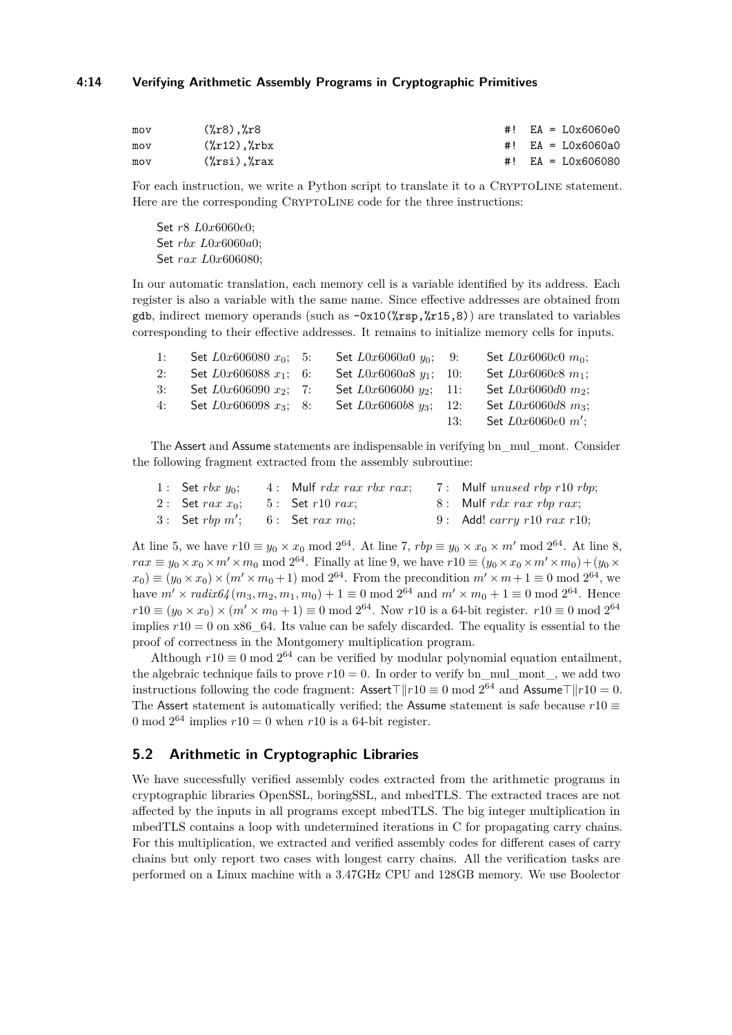#### **4:14 Verifying Arithmetic Assembly Programs in Cryptographic Primitives**

| mov | $(\%r8)$ , $\%r8$    | #! $EA = L0x6060e0$ |
|-----|----------------------|---------------------|
| mov | $(\%r12)$ , $\%rbx$  | #! EA = LOx6060a0   |
| mov | $(\%$ rsi), $\%$ rax | #! $EA = LOx606080$ |

For each instruction, we write a Python script to translate it to a CRYPTOLINE statement. Here are the corresponding CRYPTOLINE code for the three instructions:

Set *r*8 *L*0*x*6060*e*0; Set *rbx L*0*x*6060*a*0; Set *rax L*0*x*606080;

In our automatic translation, each memory cell is a variable identified by its address. Each register is also a variable with the same name. Since effective addresses are obtained from gdb, indirect memory operands (such as  $-\frac{0x10(\%rsp,[r15,8))}{rsp}$  are translated to variables corresponding to their effective addresses. It remains to initialize memory cells for inputs.

| 1: | Set $L0x606080 x_0$ ; 5:      | Set $L0x6060a0y_0$ ; 9:     |     | Set $L0x6060c0$ $m_0$ ; |
|----|-------------------------------|-----------------------------|-----|-------------------------|
|    | 2: Set $L0x606088 x_1$ ; 6:   | Set $L0x6060a8 y_1$ ; 10:   |     | Set $L0x6060c8 m_1$ ;   |
|    | 3: Set $L0x606090 x_2$ ; 7:   | Set $L0x6060b0 y_2$ ; 11:   |     | Set $L0x6060d0 m_2$ ;   |
|    | 4: Set $L0x606098$ $x_3$ ; 8: | Set $L0x6060b8$ $u_3$ : 12: |     | Set $L0x6060d8$ $m_3$ ; |
|    |                               |                             | 13: | Set $L0x6060e0 m'$ ;    |

The Assert and Assume statements are indispensable in verifying bn\_mul\_mont. Consider the following fragment extracted from the assembly subroutine:

| 1: Set $rbx y_0$ ;                       | $4:$ Mulf rdx rax rbx rax; | 7: Mulf unused rbp $r10$ rbp;                 |
|------------------------------------------|----------------------------|-----------------------------------------------|
| 2: Set $rax x_0$ : 5: Set $r10 \; rax$ : |                            | $8:$ Mulf rdx rax rbp rax;                    |
| 3: Set rbp $m'$ ; 6: Set rax $m_0$ ;     |                            | 9: Add! <i>carry</i> $r10$ <i>rax</i> $r10$ ; |

At line 5, we have  $r10 \equiv y_0 \times x_0 \mod 2^{64}$ . At line 7,  $rbp \equiv y_0 \times x_0 \times m' \mod 2^{64}$ . At line 8,  $rax \equiv y_0 \times x_0 \times m' \times m_0 \mod 2^{64}$ . Finally at line 9, we have  $r10 \equiv (y_0 \times x_0 \times m' \times m_0) + (y_0 \times m')$  $(x_0) \equiv (y_0 \times x_0) \times (m' \times m_0 + 1) \mod 2^{64}$ . From the precondition  $m' \times m + 1 \equiv 0 \mod 2^{64}$ , we have  $m' \times \text{radix}64(m_3, m_2, m_1, m_0) + 1 \equiv 0 \mod 2^{64}$  and  $m' \times m_0 + 1 \equiv 0 \mod 2^{64}$ . Hence  $r10 \equiv (y_0 \times x_0) \times (m' \times m_0 + 1) \equiv 0 \mod 2^{64}$ . Now *r*10 is a 64-bit register. *r*10  $\equiv 0 \mod 2^{64}$ implies  $r10 = 0$  on x86  $\,64$ . Its value can be safely discarded. The equality is essential to the proof of correctness in the Montgomery multiplication program.

Although  $r10 \equiv 0 \mod 2^{64}$  can be verified by modular polynomial equation entailment, the algebraic technique fails to prove  $r10 = 0$ . In order to verify bn\_mul\_mont\_, we add two instructions following the code fragment:  $\textsf{Assert} \top ||r10 \equiv 0 \bmod 2^{64} \text{ and } \textsf{Assume} \top ||r10 = 0.$ The Assert statement is automatically verified; the Assume statement is safe because  $r10 \equiv$ 0 mod  $2^{64}$  implies  $r10 = 0$  when  $r10$  is a 64-bit register.

## **5.2 Arithmetic in Cryptographic Libraries**

We have successfully verified assembly codes extracted from the arithmetic programs in cryptographic libraries OpenSSL, boringSSL, and mbedTLS. The extracted traces are not affected by the inputs in all programs except mbedTLS. The big integer multiplication in mbedTLS contains a loop with undetermined iterations in C for propagating carry chains. For this multiplication, we extracted and verified assembly codes for different cases of carry chains but only report two cases with longest carry chains. All the verification tasks are performed on a Linux machine with a 3.47GHz CPU and 128GB memory. We use Boolector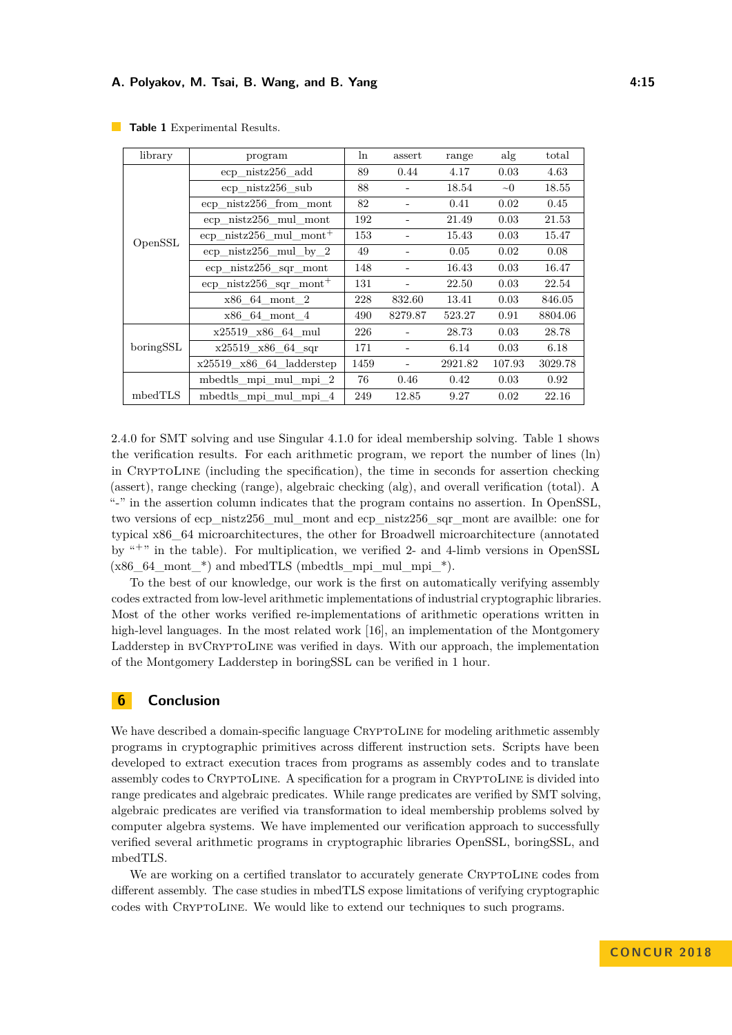| library   | program                                  | ln   | assert  | range   | alg      | total   |
|-----------|------------------------------------------|------|---------|---------|----------|---------|
|           | ecp nistz256 add                         |      | 0.44    | 4.17    | 0.03     | 4.63    |
|           | ecp nistz256 sub                         | 88   |         | 18.54   | $\sim 0$ | 18.55   |
|           | $ecp$ nistz $256$ from mont              | 82   |         | 0.41    | 0.02     | 0.45    |
|           | ecp nistz256 mul mont                    | 192  |         | 21.49   | 0.03     | 21.53   |
| OpenSSL   | $\exp$ nistz $256$ mul mont <sup>+</sup> | 153  |         | 15.43   | 0.03     | 15.47   |
|           | ecp nistz $256$ mul by $2$               | 49   |         | 0.05    | 0.02     | 0.08    |
|           | $ecp$ nistz $256$ sqr mont               | 148  |         | 16.43   | 0.03     | 16.47   |
|           | $\exp$ nistz $256$ sqr mont <sup>+</sup> | 131  |         | 22.50   | 0.03     | 22.54   |
|           | x86 64 mont 2                            | 228  | 832.60  | 13.41   | 0.03     | 846.05  |
|           | x86 64 mont 4                            | 490  | 8279.87 | 523.27  | 0.91     | 8804.06 |
|           | x25519 x86 64 mul                        | 226  |         | 28.73   | 0.03     | 28.78   |
| boringSSL | $x25519$ $x86$ 64 sqr                    | 171  |         | 6.14    | 0.03     | 6.18    |
|           | $x25519$ _ $x86$ _ $64$ _ladderstep      | 1459 |         | 2921.82 | 107.93   | 3029.78 |
|           | mbedtls mpi mul mpi 2                    | 76   | 0.46    | 0.42    | 0.03     | 0.92    |
| mbedTLS   | mbedtls mpi mul mpi 4                    | 249  | 12.85   | 9.27    | 0.02     | 22.16   |

<span id="page-14-1"></span>**Table 1** Experimental Results.

2.4.0 for SMT solving and use Singular 4.1.0 for ideal membership solving. Table [1](#page-14-1) shows the verification results. For each arithmetic program, we report the number of lines (ln) in CRYPTOLINE (including the specification), the time in seconds for assertion checking (assert), range checking (range), algebraic checking (alg), and overall verification (total). A "-" in the assertion column indicates that the program contains no assertion. In OpenSSL, two versions of ecp\_nistz256\_mul\_mont and ecp\_nistz256\_sqr\_mont are availble: one for typical x86\_64 microarchitectures, the other for Broadwell microarchitecture (annotated by "<sup>+</sup>" in the table). For multiplication, we verified 2- and 4-limb versions in OpenSSL  $(x86~64$  mont \*) and mbedTLS (mbedtls mpi\_mul\_mpi\_\*).

To the best of our knowledge, our work is the first on automatically verifying assembly codes extracted from low-level arithmetic implementations of industrial cryptographic libraries. Most of the other works verified re-implementations of arithmetic operations written in high-level languages. In the most related work [\[16\]](#page-15-1), an implementation of the Montgomery Ladderstep in BVCRYPTOLINE was verified in days. With our approach, the implementation of the Montgomery Ladderstep in boringSSL can be verified in 1 hour.

# <span id="page-14-0"></span>**6 Conclusion**

We have described a domain-specific language CRYPTOLINE for modeling arithmetic assembly programs in cryptographic primitives across different instruction sets. Scripts have been developed to extract execution traces from programs as assembly codes and to translate assembly codes to CryptoLine. A specification for a program in CryptoLine is divided into range predicates and algebraic predicates. While range predicates are verified by SMT solving, algebraic predicates are verified via transformation to ideal membership problems solved by computer algebra systems. We have implemented our verification approach to successfully verified several arithmetic programs in cryptographic libraries OpenSSL, boringSSL, and mbedTLS.

We are working on a certified translator to accurately generate CRYPTOLINE codes from different assembly. The case studies in mbedTLS expose limitations of verifying cryptographic codes with CryptoLine. We would like to extend our techniques to such programs.